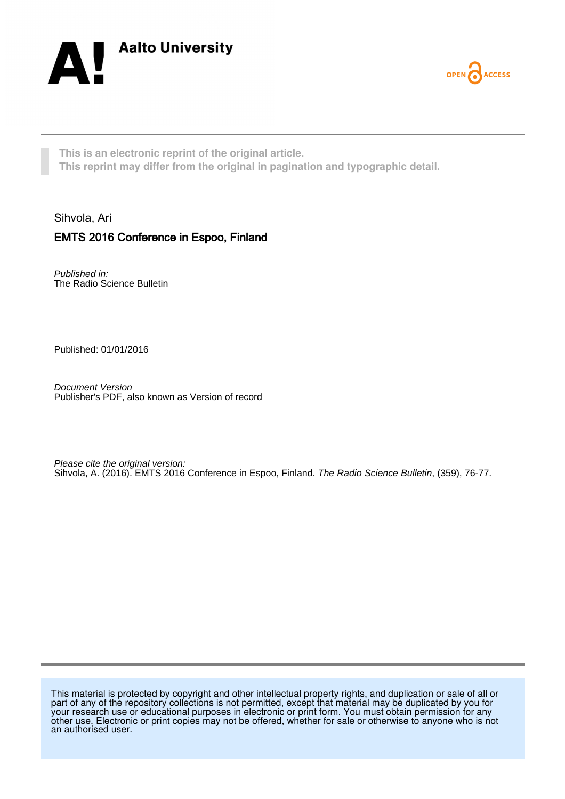



**This is an electronic reprint of the original article. This reprint may differ from the original in pagination and typographic detail.**

## Sihvola, Ari EMTS 2016 Conference in Espoo, Finland

Published in: The Radio Science Bulletin

Published: 01/01/2016

Document Version Publisher's PDF, also known as Version of record

Please cite the original version: Sihvola, A. (2016). EMTS 2016 Conference in Espoo, Finland. The Radio Science Bulletin, (359), 76-77.

This material is protected by copyright and other intellectual property rights, and duplication or sale of all or part of any of the repository collections is not permitted, except that material may be duplicated by you for your research use or educational purposes in electronic or print form. You must obtain permission for any other use. Electronic or print copies may not be offered, whether for sale or otherwise to anyone who is not an authorised user.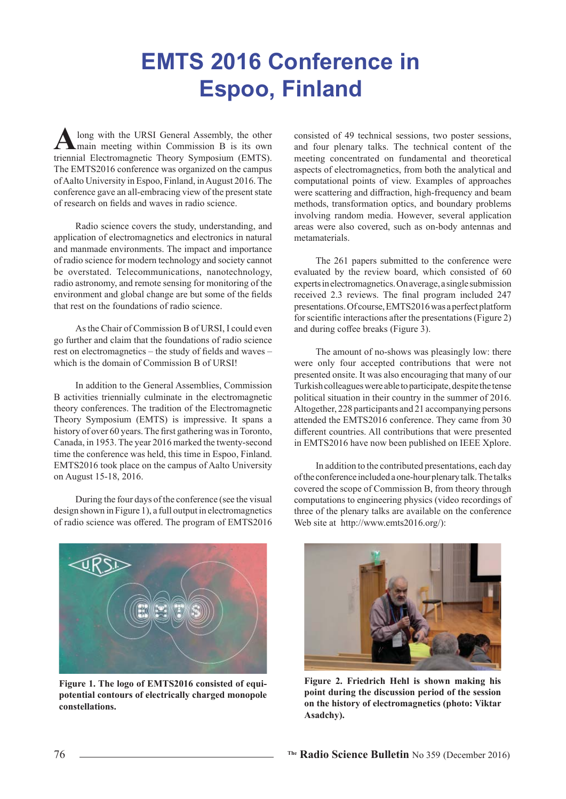## **EMTS 2016 Conference in Espoo, Finland**

long with the URSI General Assembly, the other  $\epsilon$  main meeting within Commission B is its own triennial Electromagnetic Theory Symposium (EMTS). The EMTS2016 conference was organized on the campus of Aalto University in Espoo, Finland, in August 2016. The conference gave an all-embracing view of the present state of research on fields and waves in radio science.

Radio science covers the study, understanding, and application of electromagnetics and electronics in natural and manmade environments. The impact and importance of radio science for modern technology and society cannot be overstated. Telecommunications, nanotechnology, radio astronomy, and remote sensing for monitoring of the environment and global change are but some of the fields that rest on the foundations of radio science.

As the Chair of Commission B of URSL Leould even go further and claim that the foundations of radio science rest on electromagnetics – the study of fields and waves – which is the domain of Commission B of URSI!

In addition to the General Assemblies, Commission B activities triennially culminate in the electromagnetic theory conferences. The tradition of the Electromagnetic Theory Symposium (EMTS) is impressive. It spans a history of over 60 years. The first gathering was in Toronto, Canada, in 1953. The year 2016 marked the twenty-second time the conference was held, this time in Espoo, Finland. EMTS2016 took place on the campus of Aalto University on August 15-18, 2016.

During the four days of the conference (see the visual design shown in Figure 1), a full output in electromagnetics of radio science was offered. The program of EMTS2016



Figure 1. The logo of EMTS2016 consisted of equipotential contours of electrically charged monopole constellations.

consisted of 49 technical sessions, two poster sessions, and four plenary talks. The technical content of the meeting concentrated on fundamental and theoretical aspects of electromagnetics, from both the analytical and computational points of view. Examples of approaches were scattering and diffraction, high-frequency and beam methods, transformation optics, and boundary problems involving random media. However, several application areas were also covered, such as on-body antennas and metamaterials

The 261 papers submitted to the conference were evaluated by the review board, which consisted of 60 experts in electromagnetics. On average, a single submission received 2.3 reviews. The final program included 247 presentations. Of course, EMTS2016 was a perfect platform for scientific interactions after the presentations (Figure 2) and during coffee breaks (Figure 3).

The amount of no-shows was pleasingly low: there were only four accepted contributions that were not presented onsite. It was also encouraging that many of our Turkish colleagues were able to participate, despite the tense political situation in their country in the summer of 2016. Altogether, 228 participants and 21 accompanying persons attended the EMTS2016 conference. They came from 30 different countries. All contributions that were presented in EMTS2016 have now been published on IEEE Xplore.

In addition to the contributed presentations, each day of the conference included a one-hour plenary talk. The talks covered the scope of Commission B, from theory through computations to engineering physics (video recordings of three of the plenary talks are available on the conference Web site at http://www.emts2016.org/):



Figure 2. Friedrich Hehl is shown making his point during the discussion period of the session on the history of electromagnetics (photo: Viktar Asadchy).